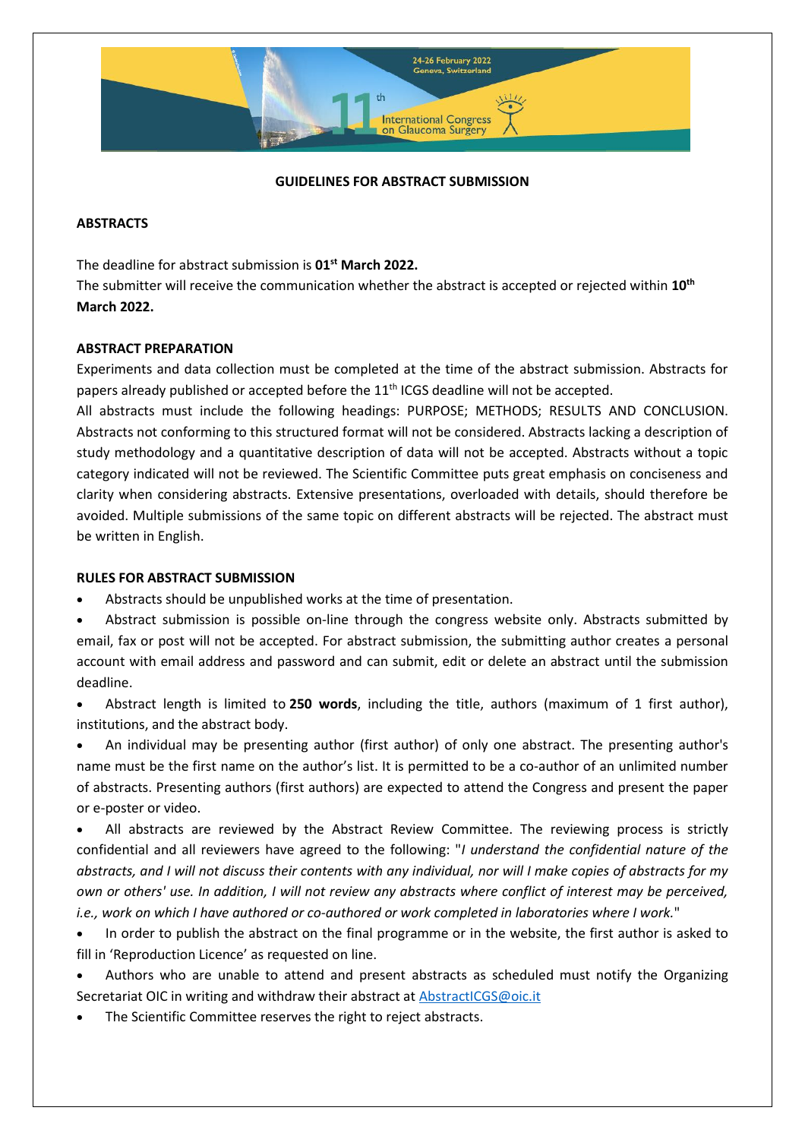

# **GUIDELINES FOR ABSTRACT SUBMISSION**

#### **ABSTRACTS**

The deadline for abstract submission is **01st March 2022.**

The submitter will receive the communication whether the abstract is accepted or rejected within **10th March 2022.**

#### **ABSTRACT PREPARATION**

Experiments and data collection must be completed at the time of the abstract submission. Abstracts for papers already published or accepted before the 11<sup>th</sup> ICGS deadline will not be accepted.

All abstracts must include the following headings: PURPOSE; METHODS; RESULTS AND CONCLUSION. Abstracts not conforming to this structured format will not be considered. Abstracts lacking a description of study methodology and a quantitative description of data will not be accepted. Abstracts without a topic category indicated will not be reviewed. The Scientific Committee puts great emphasis on conciseness and clarity when considering abstracts. Extensive presentations, overloaded with details, should therefore be avoided. Multiple submissions of the same topic on different abstracts will be rejected. The abstract must be written in English.

## **RULES FOR ABSTRACT SUBMISSION**

- Abstracts should be unpublished works at the time of presentation.
- Abstract submission is possible on-line through the congress website only. Abstracts submitted by email, fax or post will not be accepted. For abstract submission, the submitting author creates a personal account with email address and password and can submit, edit or delete an abstract until the submission deadline.
- Abstract length is limited to **250 words**, including the title, authors (maximum of 1 first author), institutions, and the abstract body.

 An individual may be presenting author (first author) of only one abstract. The presenting author's name must be the first name on the author's list. It is permitted to be a co-author of an unlimited number of abstracts. Presenting authors (first authors) are expected to attend the Congress and present the paper or e-poster or video.

 All abstracts are reviewed by the Abstract Review Committee. The reviewing process is strictly confidential and all reviewers have agreed to the following: "*I understand the confidential nature of the abstracts, and I will not discuss their contents with any individual, nor will I make copies of abstracts for my own or others' use. In addition, I will not review any abstracts where conflict of interest may be perceived, i.e., work on which I have authored or co-authored or work completed in laboratories where I work.*"

- In order to publish the abstract on the final programme or in the website, the first author is asked to fill in 'Reproduction Licence' as requested on line.
- Authors who are unable to attend and present abstracts as scheduled must notify the Organizing Secretariat OIC in writing and withdraw their abstract at [AbstractICGS@oic.it](mailto:AbstractICGS@oic.it)
- The Scientific Committee reserves the right to reject abstracts.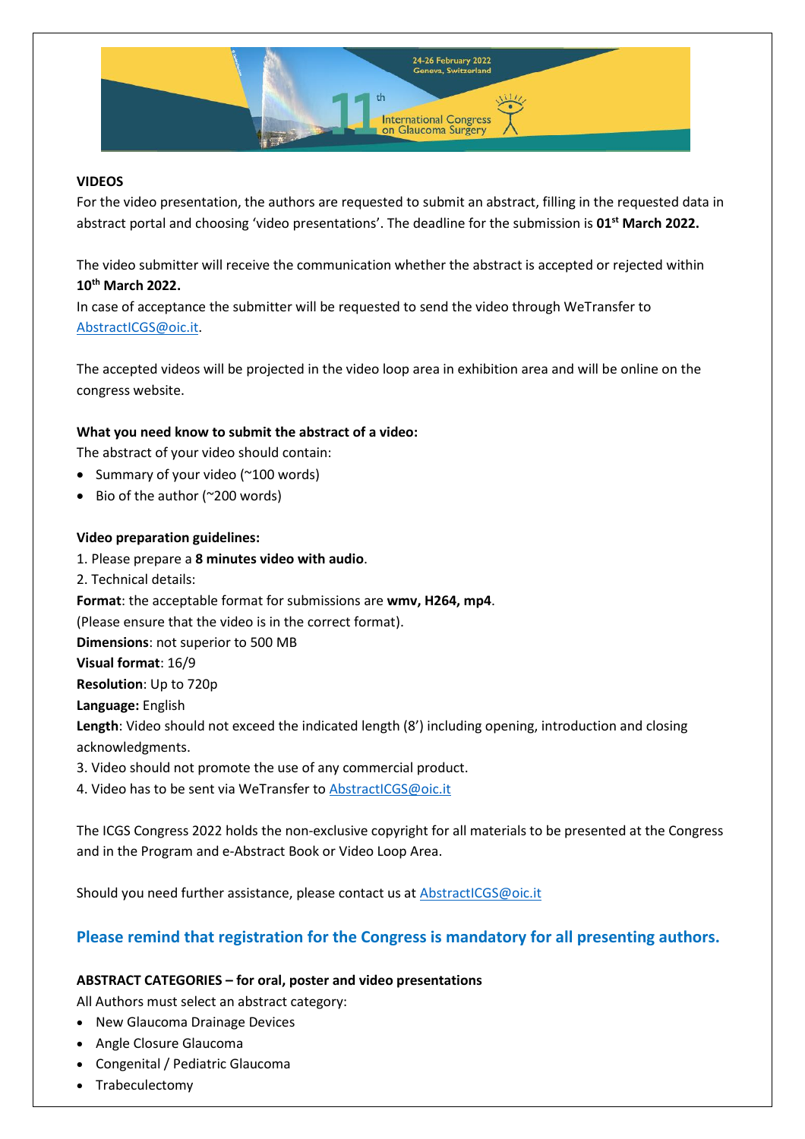

# **VIDEOS**

For the video presentation, the authors are requested to submit an abstract, filling in the requested data in abstract portal and choosing 'video presentations'. The deadline for the submission is **01st March 2022.**

The video submitter will receive the communication whether the abstract is accepted or rejected within **10th March 2022.** 

In case of acceptance the submitter will be requested to send the video through WeTransfer to [AbstractICGS@oic.it.](mailto:AbstractICGS@oic.it)

The accepted videos will be projected in the video loop area in exhibition area and will be online on the congress website.

# **What you need know to submit the abstract of a video:**

The abstract of your video should contain:

- Summary of your video (~100 words)
- $\bullet$  Bio of the author (~200 words)

## **Video preparation guidelines:**

1. Please prepare a **8 minutes video with audio**. 2. Technical details: **Format**: the acceptable format for submissions are **wmv, H264, mp4**. (Please ensure that the video is in the correct format). **Dimensions**: not superior to 500 MB **Visual format**: 16/9 **Resolution**: Up to 720p **Language:** English **Length**: Video should not exceed the indicated length (8') including opening, introduction and closing acknowledgments. 3. Video should not promote the use of any commercial product. 4. Video has to be sent via WeTransfer to [AbstractICGS@](mailto:videoicgs2020@oic.it)oic.it

The ICGS Congress 2022 holds the non-exclusive copyright for all materials to be presented at the Congress and in the Program and e-Abstract Book or Video Loop Area.

Should you need further assistance, please contact us at **AbstractICGS@oic.it** 

# **Please remind that registration for the Congress is mandatory for all presenting authors.**

## **ABSTRACT CATEGORIES – for oral, poster and video presentations**

All Authors must select an abstract category:

- New Glaucoma Drainage Devices
- Angle Closure Glaucoma
- Congenital / Pediatric Glaucoma
- Trabeculectomy